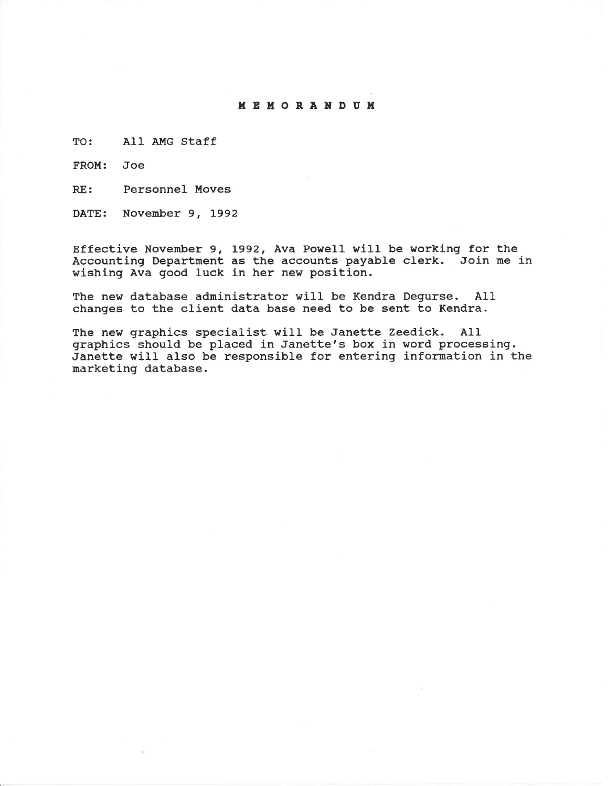#### **MEMORANDUM**

TO: All AMG Staff

FROM: Joe

RE: Personnel Moves

DATE: November 9, 1992

Effective November 9, 1992, Ava Powell will be working for the Accounting Department as the accounts payable clerk. Join me in wishing Ava good luck in her new position.

The new database administrator wiII be Kendra Degurse. All changes to the client data base need to be sent to Kendra.

The new graphics specialist wiII be Janette Zeedick. AII graphics should be placed in Janette's box in word processing. Janette will also be responsible for entering information in the marketing database.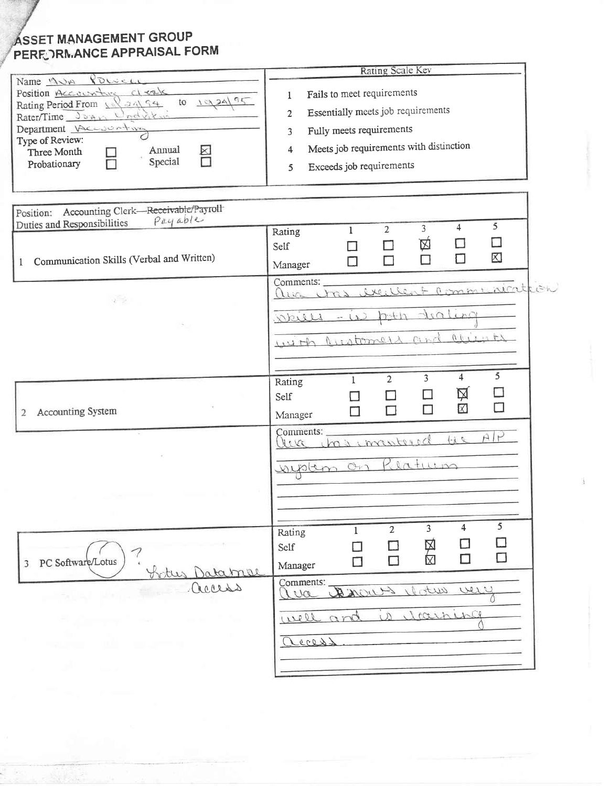# ASSET MANAGEMENT GROUP PERF; CRIMANCE APPRAISAL FORM

|                                                                                                                                                                                                                                       | Rating Scale Kev                                                                                                                                                                                          |  |
|---------------------------------------------------------------------------------------------------------------------------------------------------------------------------------------------------------------------------------------|-----------------------------------------------------------------------------------------------------------------------------------------------------------------------------------------------------------|--|
| Name 1000 Powell<br>Position Accounture of eals<br>to 1924/95<br>Rating Period From $\sqrt{2}\sqrt{3}$<br>Rater/Time Joan Undrich<br>Department Recorrent<br>Type of Review:<br>Annual<br>Three Month<br>⊠<br>Special<br>Probationary | Fails to meet requirements<br>1<br>Essentially meets job requirements<br>$\overline{2}$<br>Fully meets requirements<br>3<br>Meets job requirements with distinction<br>4<br>Exceeds job requirements<br>5 |  |
| Accounting Clerk-Receivable/Payroll<br>Position:<br>Payable<br>Duties and Responsibilities                                                                                                                                            | 5<br>$\overline{4}$<br>3                                                                                                                                                                                  |  |
| Communication Skills (Verbal and Written)<br>$\mathbf{1}$                                                                                                                                                                             | $\overline{2}$<br>1<br>Rating<br>囟<br>П<br>П<br>Self<br>区<br>П<br>П<br>П<br>Π<br>Manager                                                                                                                  |  |
| is de                                                                                                                                                                                                                                 | Comments:<br>aveillent communication<br>and will<br>dialing<br>akiels<br>$-11$<br>001222<br>has secondary down                                                                                            |  |
| 2 Accounting System                                                                                                                                                                                                                   | $\overline{5}$<br>$\overline{4}$<br>3<br>$\overline{2}$<br>1<br>Rating<br>囟<br>П<br>Self<br>П<br>$\boxtimes$<br>П<br>П<br>Manager                                                                         |  |
|                                                                                                                                                                                                                                       | Comments:<br>leve has construed<br>$\rightarrow i$<br>suptem on Riaturn                                                                                                                                   |  |
| 7<br>PC Software/Lotus<br>3<br>¥.<br><u> Hotus Databnol</u>                                                                                                                                                                           | 5<br>4<br>$\overline{3}$<br>$\overline{2}$<br>$\mathbf{1}$<br>Rating<br>H<br>冈<br>冈<br>ΓΙ<br>Self<br>$\Box$<br>П<br>$\Box$<br>$\Box$<br>Manager                                                           |  |
| access<br><b>CALL REGIST</b><br>the company's state of the company's<br>and the company                                                                                                                                               | Comments:<br>User which Avonce<br>100<br>is itaining<br>well and<br>access                                                                                                                                |  |
|                                                                                                                                                                                                                                       |                                                                                                                                                                                                           |  |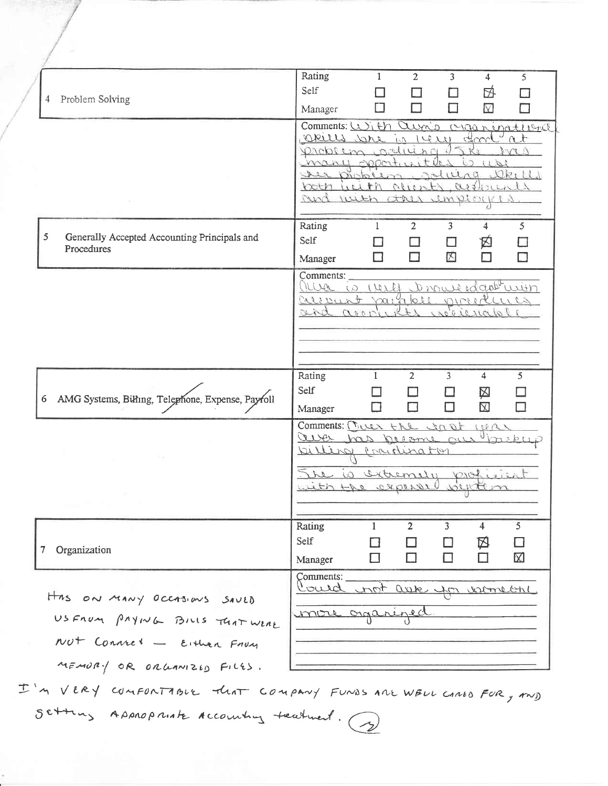|                                                        | Rating<br>$\overline{2}$<br>3<br>1<br>4<br>5                          |
|--------------------------------------------------------|-----------------------------------------------------------------------|
| Problem Solving<br>4                                   | Self<br>卧                                                             |
|                                                        | ⊠<br>Manager                                                          |
|                                                        | Comments: With Curris Craininational                                  |
|                                                        | - I<br>Okills Jake in 1420<br>chood                                   |
|                                                        | indiuna<br>millon                                                     |
|                                                        | $\sim$ 00m<br>$\Omega_{R}$<br>na<br>9chchC<br>s.                      |
|                                                        | $**N$<br>both<br>aisliner<br>0.7                                      |
|                                                        | Myr with any<br>MELOIR                                                |
|                                                        |                                                                       |
| 5<br>Generally Accepted Accounting Principals and      | Rating<br>$\overline{2}$<br>3<br>5<br>4<br>L                          |
| Procedures                                             | Self<br>囟                                                             |
|                                                        | 冈<br>Manager                                                          |
|                                                        | Comments:                                                             |
|                                                        | Oliva is veret promierdant with<br>piccolleres                        |
|                                                        | Creiseunt vainble.<br>indicional<br>ana<br>$\alpha$ or $\alpha$       |
|                                                        |                                                                       |
|                                                        |                                                                       |
|                                                        |                                                                       |
|                                                        | Rating<br>5<br>$\overline{2}$<br>3<br>4<br>1                          |
|                                                        | Self<br>凶                                                             |
| AMG Systems, Billing, Telephone, Expense, Payroll<br>6 | $\boxtimes$<br>$\Box$<br>H<br>Manager                                 |
|                                                        |                                                                       |
|                                                        | Comments: $(T_{1}UUV + M_{2})$<br>400L<br>1001<br>aver has become our |
|                                                        | bitters<br>Conclinator                                                |
|                                                        |                                                                       |
|                                                        | le is sitiemely prof<br>with the expert                               |
|                                                        |                                                                       |
|                                                        |                                                                       |
|                                                        | 5<br>Rating<br>$\mathbf{1}$<br>$\overline{2}$<br>3<br>4               |
| Organization<br>7                                      | Self<br>囟                                                             |
|                                                        | П<br>区<br>П<br>$\Box$<br>П<br>Manager                                 |
|                                                        | Comments:                                                             |
|                                                        | Could not asser for women                                             |
| Has ON MANY OCCASIONS SAVED                            |                                                                       |
| USFROM PAYING BILLS TUAT WERE                          | unore organized.                                                      |
| Not Connel - Either From                               |                                                                       |
| MEMORY OR ORLANIZED FILES.                             |                                                                       |
|                                                        |                                                                       |

I'M VERY COMFONTABLE THAT COMPANY FUNDS AND WELL CANED FOR, AND Setting Appropriate Accounting teatment. (?)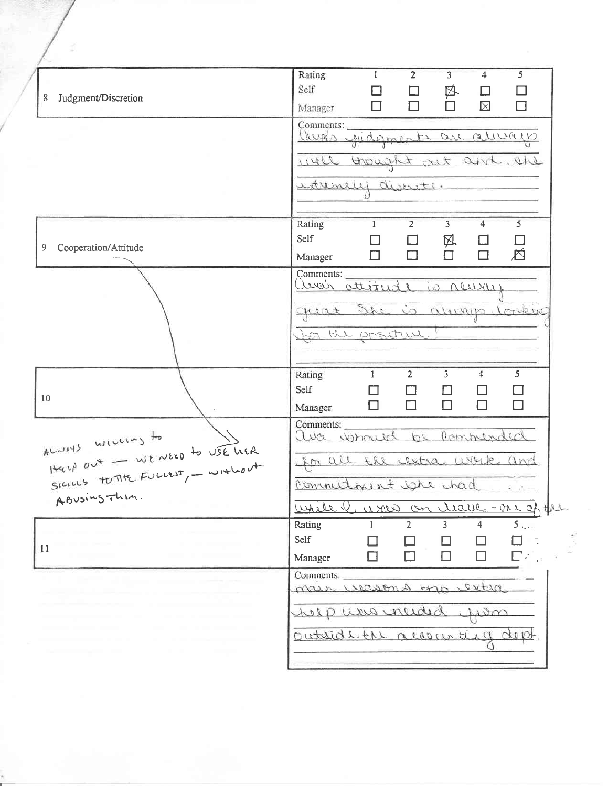|                                                                    | Rating                            | $\mathbf{1}$    | $\overline{2}$ | $\overline{3}$ | 4                       | 5               |  |
|--------------------------------------------------------------------|-----------------------------------|-----------------|----------------|----------------|-------------------------|-----------------|--|
|                                                                    | Self                              |                 |                |                |                         |                 |  |
| Judgment/Discretion<br>8                                           |                                   | $\Box$          | □              | 卧              | LΙ                      | $\Box$          |  |
|                                                                    | Manager                           | $\Box$          | П              | 'n             | $\boxtimes$             | $\Box$          |  |
|                                                                    | Comments:                         |                 |                |                |                         |                 |  |
|                                                                    | lux's judgments are relevally     |                 |                |                |                         |                 |  |
|                                                                    |                                   |                 |                |                |                         |                 |  |
|                                                                    | ivell                             | thought art and |                |                |                         | ahe             |  |
|                                                                    |                                   |                 |                |                |                         |                 |  |
|                                                                    | extremely diserts.                |                 |                |                |                         |                 |  |
|                                                                    |                                   |                 |                |                |                         |                 |  |
|                                                                    | Rating                            | 1               | $\overline{2}$ | $\overline{3}$ | $\overline{4}$          | 5               |  |
|                                                                    | Self                              |                 |                |                |                         |                 |  |
| Cooperation/Attitude<br>9                                          |                                   |                 | □              | 风              | $\Box$                  | □               |  |
|                                                                    | Manager                           | □               | $\Box$         | $\Box$         | $\Box$                  | 尥               |  |
|                                                                    | Comments:                         |                 |                |                |                         |                 |  |
|                                                                    | aver attitude is neuro            |                 |                |                |                         |                 |  |
|                                                                    |                                   |                 |                |                |                         |                 |  |
|                                                                    | creat She is always looking       |                 |                |                |                         |                 |  |
|                                                                    | for the positive!                 |                 |                |                |                         |                 |  |
|                                                                    |                                   |                 |                |                |                         |                 |  |
|                                                                    |                                   |                 |                |                |                         |                 |  |
|                                                                    | Rating                            | 1               | $\overline{2}$ | $\overline{3}$ | $\overline{\mathbf{4}}$ | 5 <sup>1</sup>  |  |
|                                                                    | Self                              |                 |                |                |                         |                 |  |
| 10                                                                 |                                   | П               | П              | П              | $\Box$                  | $\Box$          |  |
|                                                                    | Manager                           |                 |                |                |                         |                 |  |
| ALWAYS WILLING to USE WER HER HER SIGNED TO THE FULLIST, - WITHOUT | Comments:                         |                 |                |                |                         |                 |  |
|                                                                    | ava ushould be commended          |                 |                |                |                         |                 |  |
|                                                                    | for all the certra werk and       |                 |                |                |                         |                 |  |
|                                                                    |                                   |                 |                |                |                         |                 |  |
|                                                                    | Commitment isre had               |                 |                |                |                         |                 |  |
|                                                                    |                                   |                 |                |                |                         |                 |  |
|                                                                    | Whele C, were on charle-on of the |                 |                |                |                         |                 |  |
|                                                                    | Rating                            | 1               | $\overline{2}$ | 3              | 4                       | 5 <sub>12</sub> |  |
|                                                                    | Self                              |                 |                |                |                         |                 |  |
| 11                                                                 | Manager                           |                 |                | н              |                         | 口の              |  |
|                                                                    |                                   |                 |                |                |                         |                 |  |
|                                                                    | Comments:<br>mar wasons un        |                 |                |                | extra                   |                 |  |
|                                                                    |                                   |                 |                |                |                         |                 |  |
|                                                                    | of pues incide                    |                 |                |                |                         |                 |  |
|                                                                    |                                   |                 |                |                |                         |                 |  |
|                                                                    |                                   |                 | the account    |                |                         |                 |  |
|                                                                    |                                   |                 |                |                |                         |                 |  |
|                                                                    |                                   |                 |                |                |                         |                 |  |
|                                                                    |                                   |                 |                |                |                         |                 |  |

š,

 $\ddot{\phantom{0}}$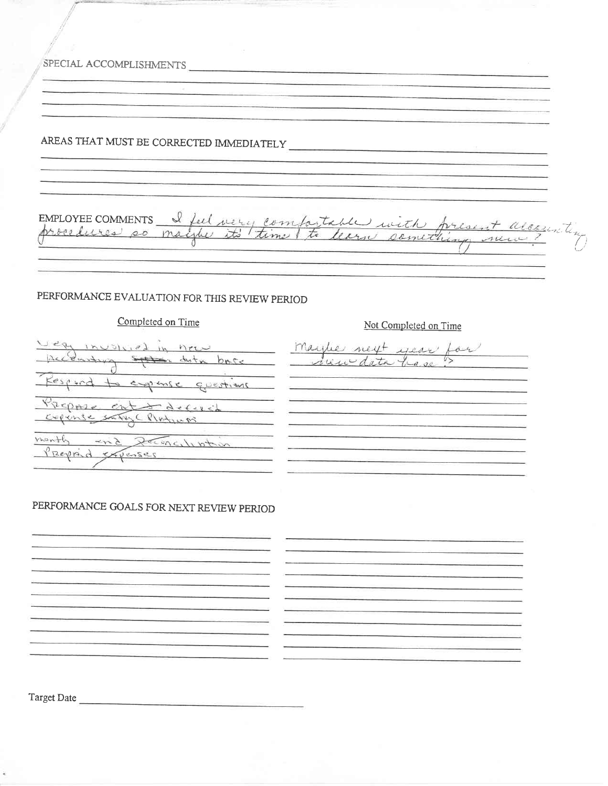SPECIAL ACCOMPLISHMENTS EMPLOYEE COMMENTS I feel very compartable with present alcounty PERFORMANCE EVALUATION FOR THIS REVIEW PERIOD Completed on Time Not Completed on Time involved in new maybe next year for Cantury States dota back receivedata have  $\sqrt{2}$ Respond to expense questions Propose ont decessible <u> 1980 - Jan James Barnett, mars et al.</u> month and permission Prepaid Sepenses. PERFORMANCE GOALS FOR NEXT REVIEW PERIOD .<br>Principal de la propincia de la propincia de la propincia de la propincia de la propincia de la propincia del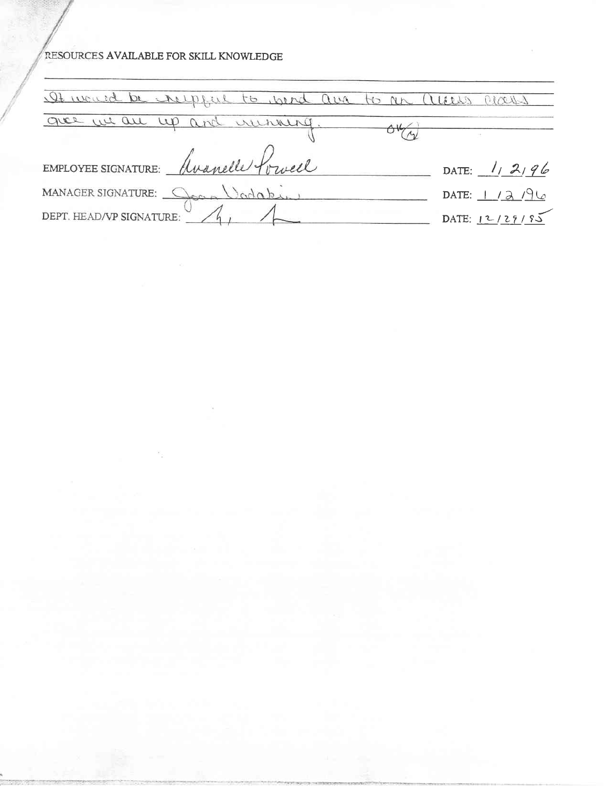## RESOURCES AVAILABLE FOR SKILL KNOWLEDGE

 $\mathbb{R}^{n-1}$ 

 $\mathbf{e}_p$ 

 $\alpha$ 

| It would be respect to wend are to an | aures au |                |
|---------------------------------------|----------|----------------|
| give we are up and winning.           |          |                |
| EMPLOYEE SIGNATURE: Awanelle forwell  |          | DATE: $112196$ |
| MANAGER SIGNATURE: Coap Vadaki        |          | DATE: $1/2/96$ |
| DEPT. HEAD/VP SIGNATURE:              |          | DATE: 12/29/85 |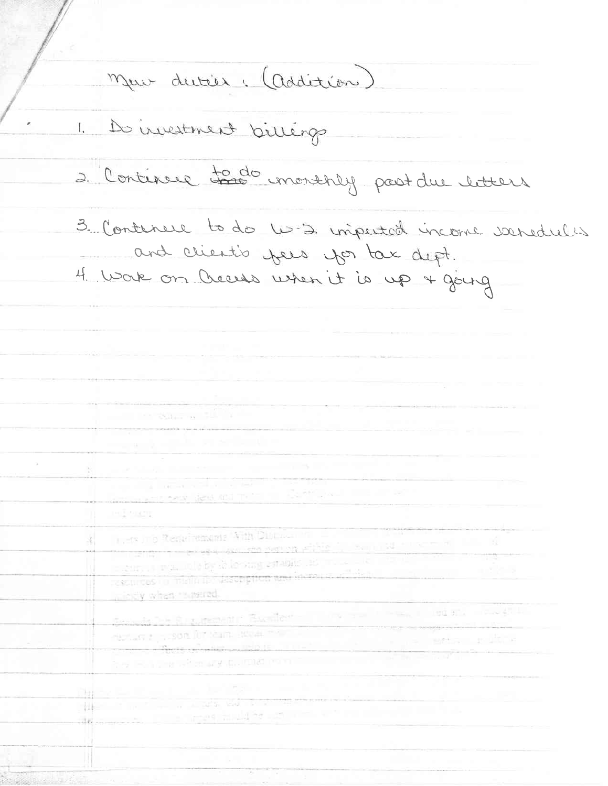Mar dutier. (Addition) 1. Do investment billings 2. Continue to do monthly post du litters 3. Continue to do U.S. imputed income veredules and client's years you tak dept. 4 Wak on Creeses when it is up + going. **CONTRACTOR** contains the second company of a stability of the form of a property set Ň. the company of the state boundary to their deal and the the second control was a second belt **POST** Trees in a Reducements With Distance in 湛 the second constitution within the second second second second second second second second second second second a car, it that it is by color any catalic its more of a many resources to minimum assemption and increase and depmickly when "sqared. Seconda Dele Riugumententin "Buchflete" - 1994 com il messo il liggi alla microsoft di necture a riceon for team securities in **IS MARY PULLE**  $\frac{1}{2}$   $\frac{1}{2}$   $\frac{1}{2}$   $\frac{1}{2}$   $\frac{1}{2}$   $\frac{1}{2}$   $\frac{1}{2}$   $\frac{1}{2}$   $\frac{1}{2}$   $\frac{1}{2}$   $\frac{1}{2}$   $\frac{1}{2}$   $\frac{1}{2}$   $\frac{1}{2}$   $\frac{1}{2}$   $\frac{1}{2}$   $\frac{1}{2}$   $\frac{1}{2}$   $\frac{1}{2}$   $\frac{1}{2}$   $\frac{1}{2}$   $\frac$ the leads of which any multiple with the community of two country of والمحافظ المسابق كالمحاور Herman I was a way to be the and the states multiple in the community of the first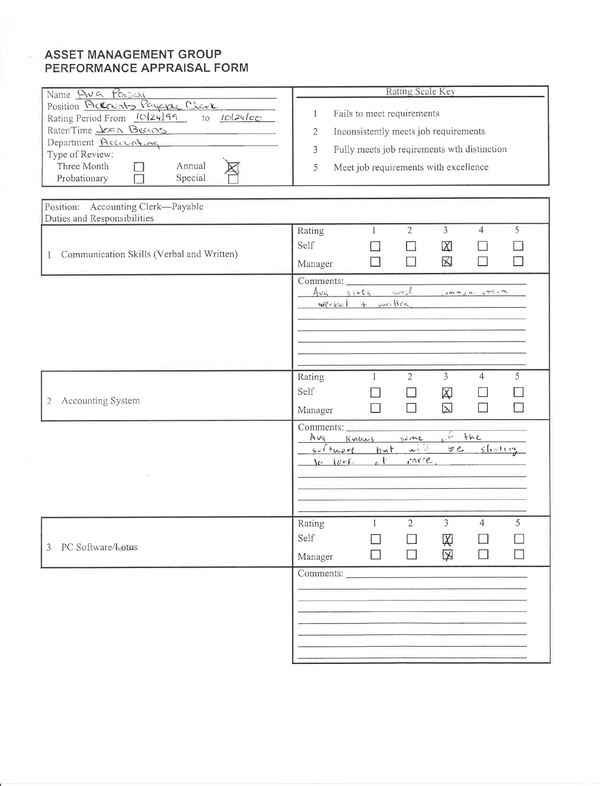### **ASSET MANAGEMENT GROUP** PERFORMANCE APPRAISAL FORM

| Name Ava Powell                                                                                                                                                                                             | Rating Scale Key                                                                                                                                                                |
|-------------------------------------------------------------------------------------------------------------------------------------------------------------------------------------------------------------|---------------------------------------------------------------------------------------------------------------------------------------------------------------------------------|
| Position Raccurity Payable Clerk<br>Rating Period From 10/24/99 to 10/24/00<br>Rater/Time <u>Joan Beans</u><br>Department Accounting<br>Type of Review:<br>Three Month<br>Annual<br>Probationary<br>Special | Fails to meet requirements<br>1<br>Inconsistently meets job requirements<br>2<br>3<br>Fully meets job reqirements wth distinction<br>Meet job requirements with excellence<br>5 |
| Position: Accounting Clerk-Payable<br>Duties and Responsibilities                                                                                                                                           |                                                                                                                                                                                 |
| Communication Skills (Verbal and Written)<br>1                                                                                                                                                              | $\overline{3}$<br>5<br>2<br>$\overline{4}$<br>Rating<br>$\mathbf{1}$<br>Self<br>$\boxtimes$<br>区<br>$\Box$<br>$\Box$<br>$\overline{\phantom{a}}$<br>$\Box$<br>Manager           |
|                                                                                                                                                                                                             | Comments:<br>$Avg$ gives<br>with somman item<br>$w$ ? $ba$ $\downarrow$ $w$ $He$                                                                                                |
| Accounting System<br>$\overline{2}$                                                                                                                                                                         | $\overline{3}$<br>5<br>$\overline{2}$<br>$\overline{4}$<br>Rating<br>1<br>Self<br>冈<br>$\boxtimes$<br>$\Box$<br>⊣<br>$\Box$<br>$\blacksquare$<br>Manager                        |
|                                                                                                                                                                                                             | Comments: __________<br>$+$ the<br>Ava Knows some<br>$\sim$<br>$02 \leq$ forting<br>suftware<br>but<br>人七<br>invere,<br>$10-100$                                                |
| PC Software/Lotus<br>3                                                                                                                                                                                      | $\overline{2}$<br>3<br>5<br>4<br>Rating<br>1<br>Self<br>Ķ<br>⊠<br>Manager                                                                                                       |
|                                                                                                                                                                                                             | Comments:                                                                                                                                                                       |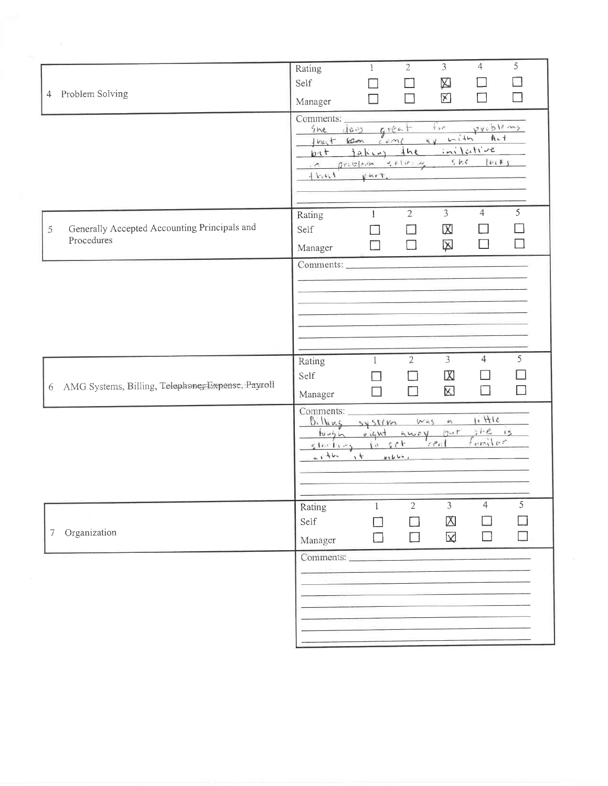| 4 Problem Solving                                               | 5<br>$\overline{3}$<br>$\overline{4}$<br>$\overline{2}$<br>Rating<br>1<br>Self<br>囚<br>冈<br>ΙI<br>L.<br>Manager<br>Comments:<br>vieblems<br>$+ vr$<br>$6$ reat<br>$10 - 5$<br>She |
|-----------------------------------------------------------------|-----------------------------------------------------------------------------------------------------------------------------------------------------------------------------------|
|                                                                 | $1 - 145$<br>$A - 1$<br>60m<br>$1$ mat<br>$\sim$ $\sim$<br>cm<br>initative<br>ine<br>$b+$<br>$1a$ kin<br>5 k<br>letK3<br>$0.0001400 - 4.01000$<br>$\Lambda$<br>$11.41 +$<br>Kurt. |
| Generally Accepted Accounting Principals and<br>5<br>Procedures | 5 <sup>1</sup><br>$\overline{3}$<br>$\overline{4}$<br>$\overline{2}$<br>Rating<br>1<br>$\boxtimes$<br>Self<br>囟<br>H<br>$\Box$<br>Manager                                         |
|                                                                 |                                                                                                                                                                                   |
| 6 AMG Systems, Billing, Telephones Expense, Payroll             | $\overline{3}$<br>5<br>$\overline{2}$<br>$\overline{4}$<br>Rating<br>$\mathbf{1}$<br>Self<br>$\mathbb{X}$<br>$\boxtimes$<br>П<br>H<br>П<br>□<br>Manager                           |
|                                                                 | Comments:<br>11H14<br>Billing system<br>was<br>$\mathcal{O}(1)$<br>$51 - 12 - 15$<br>tungin vight away but<br>$f_{univ}$<br>221<br>10.55<br>$510x$ times<br>$2144 - 14$<br>4164.1 |
| Organization<br>7                                               | 5<br>Rating<br>2<br>3<br>4<br>囟<br>Self<br>K<br>Manager                                                                                                                           |
|                                                                 | Comments:<br><u> Alberto de Calvia - La Calvia de Cal</u>                                                                                                                         |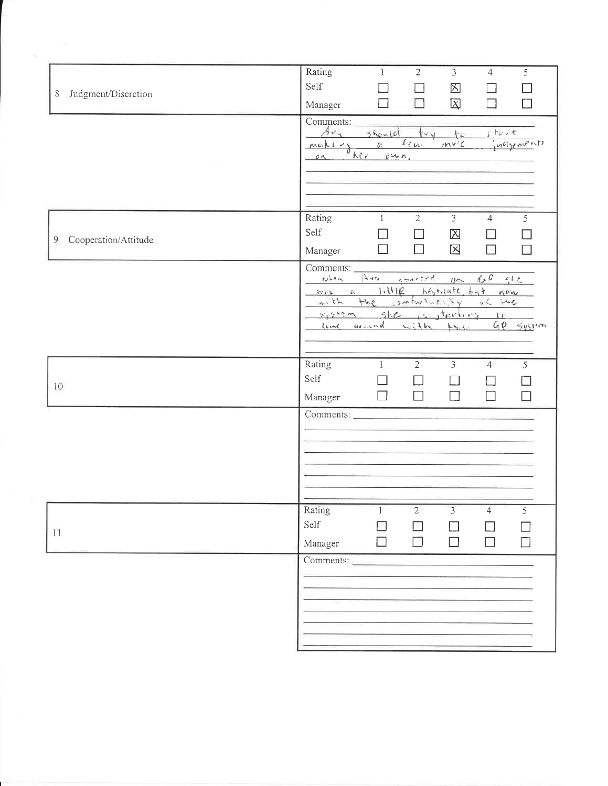| Judgment/Discretion<br>$8\,$ | Rating<br>$2^{-}$<br>$\overline{3}$<br>$\mathbf{1}$<br>$\overline{4}$<br>5<br>Self<br>区<br>$\Box$<br>$\Box$<br>$\overline{\mathrm{X}}$<br>$\Box$<br>П<br>$\Box$<br>$\Box$<br>Manager                                                    |
|------------------------------|-----------------------------------------------------------------------------------------------------------------------------------------------------------------------------------------------------------------------------------------|
|                              | Comments:<br>$Av_{\alpha}$<br>should<br>tv u<br>$s$ has $t$<br>to<br>Im<br>$mv^{\prime}$<br>incisements<br>$Z^*$<br>making<br>kr<br>0.46n<br>$\sigma$                                                                                   |
| Cooperation/Attitude<br>9    | Rating<br>$\overline{2}$<br>$\overline{3}$<br>$\mathbf{I}$<br>$\overline{4}$<br>5 <sup>7</sup><br>Self<br>$\boxtimes$<br>$\blacksquare$<br>$\overline{\phantom{0}}$<br>$\boxtimes$<br>$\Box$<br>$\Box$<br>П<br>Manager<br>$\Box$        |
|                              | Comments:<br>$(\pm 40)$<br>126<br>Nhon<br>$U \sim$<br>556<br>1.111E<br>hestitute byt now<br>$14.462$ $2.934$<br>$+he$<br>$\sim$ , $\hbar$<br>Ulliantwhen<br>she she<br>5055<br>she is thrives to<br>$GP$ system<br>come usuand with the |
| 10                           | Rating<br>$\overline{2}$<br>$\mathfrak{Z}$<br>5<br>$\mathbf{1}$<br>$\overline{4}$<br>Self<br>$\Box$<br>$\Box$<br>$\Box$<br>Manager<br>H<br>$\Box$                                                                                       |
|                              | Comments:                                                                                                                                                                                                                               |
| 11                           | Rating<br>2<br>3<br>1<br>$\overline{4}$<br>5<br>Self<br>П<br>n l<br>$\Box$<br>$\Box$<br>Manager                                                                                                                                         |
|                              | Comments:                                                                                                                                                                                                                               |

 $\frac{1}{2}$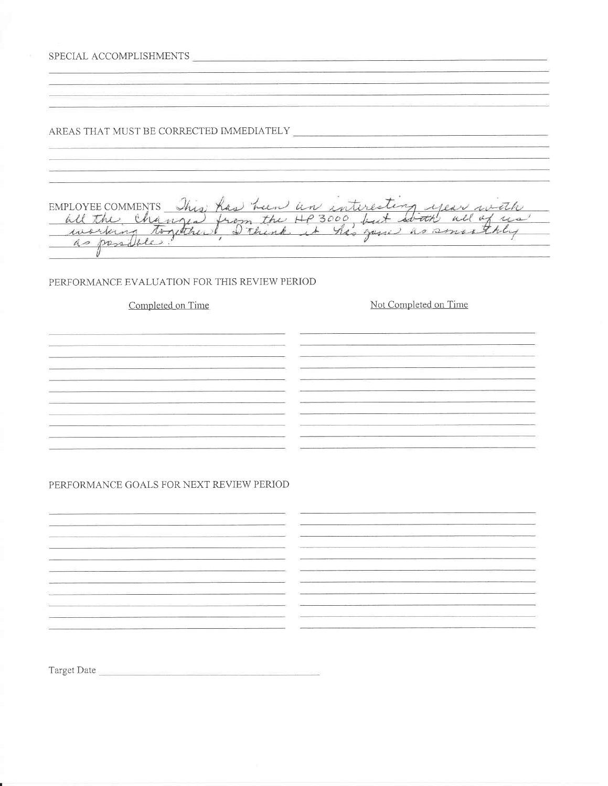SPECIAL ACCOMPLISHMENTS <u> 1989 - John Harry Harry Harry Harry Harry Harry Harry Harry Harry Harry Harry Harry Harry Harry Harry Harry</u> AREAS THAT MUST BE CORRECTED IMMEDIATELY .<br>1980: Antonio de Antonio III e al contrato de California de la construcción de la construcción de la construcc EMPLOYEE COMMENTS This has been un interesting year with as possible. PERFORMANCE EVALUATION FOR THIS REVIEW PERIOD Completed on Time Not Completed on Time <u> 1980 - Jan James James James James James James James James James James James James James James James James Ja</u> <u> 2008 - Andrea Station Barbara (b. 1989)</u> <u>.</u><br>2001 - Andre Harry Brown, amerikansk politiker (d. 1902) <u> 1989 - Johann Harry Harry Harry Harry Harry Harry Harry Harry Harry Harry Harry Harry Harry Harry Harry Harry</u> <u> 1980 - Jan James Barnett, mars eta bat eta bat erroman ez arteko erregea ez artean erregea ez artean ez artean</u> the control of the control of the control of the control of the control of the control of <u> 1980 - Antonio Alemania, američki predstavanj do svjetlo do svoji stari po svjetlo do svoji stari po svjetlo</u> PERFORMANCE GOALS FOR NEXT REVIEW PERIOD 

Target Date